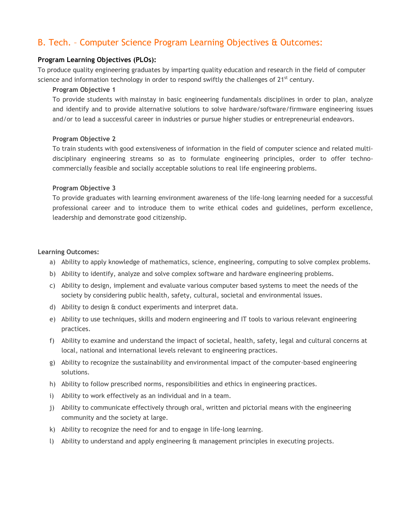# B. Tech. – Computer Science Program Learning Objectives & Outcomes:

## **Program Learning Objectives (PLOs):**

To produce quality engineering graduates by imparting quality education and research in the field of computer science and information technology in order to respond swiftly the challenges of  $21<sup>st</sup>$  century.

### **Program Objective 1**

To provide students with mainstay in basic engineering fundamentals disciplines in order to plan, analyze and identify and to provide alternative solutions to solve hardware/software/firmware engineering issues and/or to lead a successful career in industries or pursue higher studies or entrepreneurial endeavors.

### **Program Objective 2**

To train students with good extensiveness of information in the field of computer science and related multidisciplinary engineering streams so as to formulate engineering principles, order to offer technocommercially feasible and socially acceptable solutions to real life engineering problems.

### **Program Objective 3**

To provide graduates with learning environment awareness of the life-long learning needed for a successful professional career and to introduce them to write ethical codes and guidelines, perform excellence, leadership and demonstrate good citizenship.

#### **Learning Outcomes:**

- a) Ability to apply knowledge of mathematics, science, engineering, computing to solve complex problems.
- b) Ability to identify, analyze and solve complex software and hardware engineering problems.
- c) Ability to design, implement and evaluate various computer based systems to meet the needs of the society by considering public health, safety, cultural, societal and environmental issues.
- d) Ability to design & conduct experiments and interpret data.
- e) Ability to use techniques, skills and modern engineering and IT tools to various relevant engineering practices.
- f) Ability to examine and understand the impact of societal, health, safety, legal and cultural concerns at local, national and international levels relevant to engineering practices.
- g) Ability to recognize the sustainability and environmental impact of the computer-based engineering solutions.
- h) Ability to follow prescribed norms, responsibilities and ethics in engineering practices.
- i) Ability to work effectively as an individual and in a team.
- j) Ability to communicate effectively through oral, written and pictorial means with the engineering community and the society at large.
- k) Ability to recognize the need for and to engage in life-long learning.
- l) Ability to understand and apply engineering & management principles in executing projects.